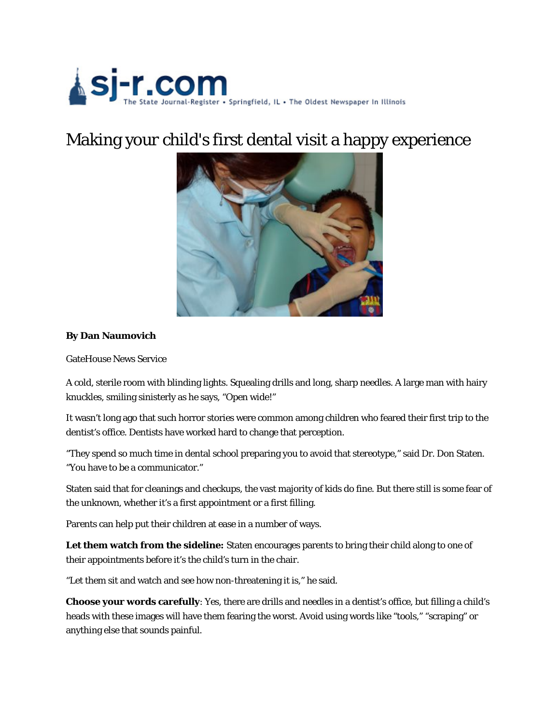

## Making your child's first dental visit a happy experience



## **By Dan Naumovich**

GateHouse News Service

A cold, sterile room with blinding lights. Squealing drills and long, sharp needles. A large man with hairy knuckles, smiling sinisterly as he says, "Open wide!"

It wasn't long ago that such horror stories were common among children who feared their first trip to the dentist's office. Dentists have worked hard to change that perception.

"They spend so much time in dental school preparing you to avoid that stereotype," said Dr. Don Staten. "You have to be a communicator."

Staten said that for cleanings and checkups, the vast majority of kids do fine. But there still is some fear of the unknown, whether it's a first appointment or a first filling.

Parents can help put their children at ease in a number of ways.

**Let them watch from the sideline:** Staten encourages parents to bring their child along to one of their appointments before it's the child's turn in the chair.

"Let them sit and watch and see how non-threatening it is," he said.

**Choose your words carefully**: Yes, there are drills and needles in a dentist's office, but filling a child's heads with these images will have them fearing the worst. Avoid using words like "tools," "scraping" or anything else that sounds painful.